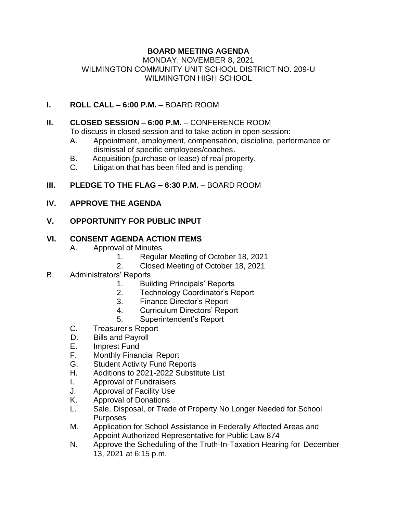# **BOARD MEETING AGENDA**

#### MONDAY, NOVEMBER 8, 2021 WILMINGTON COMMUNITY UNIT SCHOOL DISTRICT NO. 209-U WILMINGTON HIGH SCHOOL

## **I. ROLL CALL – 6:00 P.M.** – BOARD ROOM

#### **II. CLOSED SESSION – 6:00 P.M.** – CONFERENCE ROOM

To discuss in closed session and to take action in open session:

- A. Appointment, employment, compensation, discipline, performance or dismissal of specific employees/coaches.
- B. Acquisition (purchase or lease) of real property.
- C. Litigation that has been filed and is pending.

#### **III. PLEDGE TO THE FLAG – 6:30 P.M. – BOARD ROOM**

#### **IV. APPROVE THE AGENDA**

## **V. OPPORTUNITY FOR PUBLIC INPUT**

## **VI. CONSENT AGENDA ACTION ITEMS**

- A. Approval of Minutes
	- 1. Regular Meeting of October 18, 2021
	- 2. Closed Meeting of October 18, 2021

## B. Administrators' Reports

- 1. Building Principals' Reports
- 2. Technology Coordinator's Report
- 3. Finance Director's Report
- 4. Curriculum Directors' Report
- 5. Superintendent's Report
- C. Treasurer's Report
- D. Bills and Payroll
- E. Imprest Fund
- F. Monthly Financial Report
- G. Student Activity Fund Reports
- H. Additions to 2021-2022 Substitute List
- I. Approval of Fundraisers
- J. Approval of Facility Use
- K. Approval of Donations
- L. Sale, Disposal, or Trade of Property No Longer Needed for School Purposes
- M. Application for School Assistance in Federally Affected Areas and Appoint Authorized Representative for Public Law 874
- N. Approve the Scheduling of the Truth-In-Taxation Hearing for December 13, 2021 at 6:15 p.m.